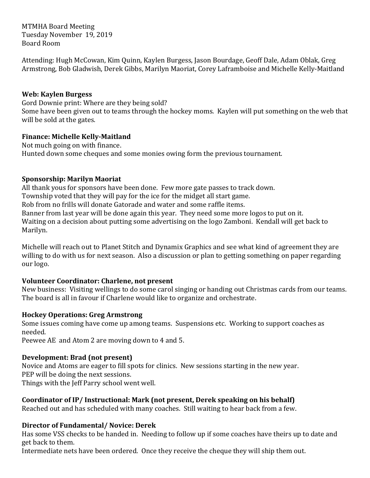MTMHA Board Meeting Tuesday November 19, 2019 Board Room

Attending: Hugh McCowan, Kim Quinn, Kaylen Burgess, Jason Bourdage, Geoff Dale, Adam Oblak, Greg Armstrong, Bob Gladwish, Derek Gibbs, Marilyn Maoriat, Corey Laframboise and Michelle Kelly-Maitland

#### **Web: Kaylen Burgess**

Gord Downie print: Where are they being sold? Some have been given out to teams through the hockey moms. Kaylen will put something on the web that will be sold at the gates.

#### **Finance: Michelle Kelly-Maitland**

Not much going on with finance. Hunted down some cheques and some monies owing form the previous tournament.

#### **Sponsorship: Marilyn Maoriat**

All thank yous for sponsors have been done. Few more gate passes to track down. Township voted that they will pay for the ice for the midget all start game. Rob from no frills will donate Gatorade and water and some raffle items. Banner from last year will be done again this year. They need some more logos to put on it. Waiting on a decision about putting some advertising on the logo Zamboni. Kendall will get back to Marilyn.

Michelle will reach out to Planet Stitch and Dynamix Graphics and see what kind of agreement they are willing to do with us for next season. Also a discussion or plan to getting something on paper regarding our logo.

## **Volunteer Coordinator: Charlene, not present**

New business: Visiting wellings to do some carol singing or handing out Christmas cards from our teams. The board is all in favour if Charlene would like to organize and orchestrate.

## **Hockey Operations: Greg Armstrong**

Some issues coming have come up among teams. Suspensions etc. Working to support coaches as needed.

Peewee AE and Atom 2 are moving down to 4 and 5.

## **Development: Brad (not present)**

Novice and Atoms are eager to fill spots for clinics. New sessions starting in the new year. PEP will be doing the next sessions. Things with the Jeff Parry school went well.

## Coordinator of IP/ Instructional: Mark (not present, Derek speaking on his behalf)

Reached out and has scheduled with many coaches. Still waiting to hear back from a few.

## **Director of Fundamental/ Novice: Derek**

Has some VSS checks to be handed in. Needing to follow up if some coaches have theirs up to date and get back to them.

Intermediate nets have been ordered. Once they receive the cheque they will ship them out.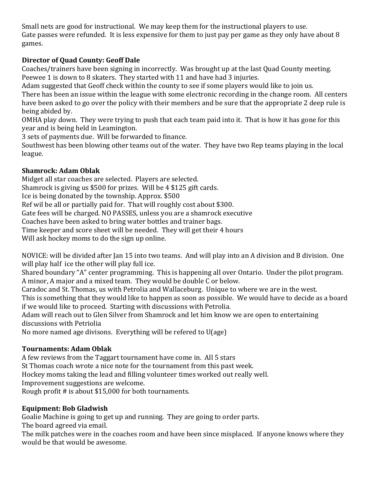Small nets are good for instructional. We may keep them for the instructional players to use. Gate passes were refunded. It is less expensive for them to just pay per game as they only have about 8 games.

# **Director of Quad County: Geoff Dale**

Coaches/trainers have been signing in incorrectly. Was brought up at the last Quad County meeting. Peewee 1 is down to 8 skaters. They started with 11 and have had 3 injuries.

Adam suggested that Geoff check within the county to see if some players would like to join us.

There has been an issue within the league with some electronic recording in the change room. All centers have been asked to go over the policy with their members and be sure that the appropriate 2 deep rule is being abided by.

OMHA play down. They were trying to push that each team paid into it. That is how it has gone for this year and is being held in Leamington.

3 sets of payments due. Will be forwarded to finance.

Southwest has been blowing other teams out of the water. They have two Rep teams playing in the local league. 

# **Shamrock: Adam Oblak**

Midget all star coaches are selected. Players are selected.

Shamrock is giving us  $$500$  for prizes. Will be 4  $$125$  gift cards.

Ice is being donated by the township. Approx. \$500

Ref wil be all or partially paid for. That will roughly cost about \$300.

Gate fees will be charged. NO PASSES, unless you are a shamrock executive

Coaches have been asked to bring water bottles and trainer bags.

Time keeper and score sheet will be needed. They will get their 4 hours

Will ask hockey moms to do the sign up online.

NOVICE: will be divided after Jan 15 into two teams. And will play into an A division and B division. One will play half ice the other will play full ice.

Shared boundary "A" center programming. This is happening all over Ontario. Under the pilot program. A minor, A major and a mixed team. They would be double C or below.

Caradoc and St. Thomas, us with Petrolia and Wallaceburg. Unique to where we are in the west.

This is something that they would like to happen as soon as possible. We would have to decide as a board if we would like to proceed. Starting with discussions with Petrolia.

Adam will reach out to Glen Silver from Shamrock and let him know we are open to entertaining discussions with Petriolia

No more named age divisons. Everything will be refered to  $U(age)$ 

# **Tournaments: Adam Oblak**

A few reviews from the Taggart tournament have come in. All 5 stars St Thomas coach wrote a nice note for the tournament from this past week. Hockey moms taking the lead and filling volunteer times worked out really well. Improvement suggestions are welcome. Rough profit  $#$  is about \$15,000 for both tournaments.

# **Equipment: Bob Gladwish**

Goalie Machine is going to get up and running. They are going to order parts. The board agreed via email.

The milk patches were in the coaches room and have been since misplaced. If anyone knows where they would be that would be awesome.